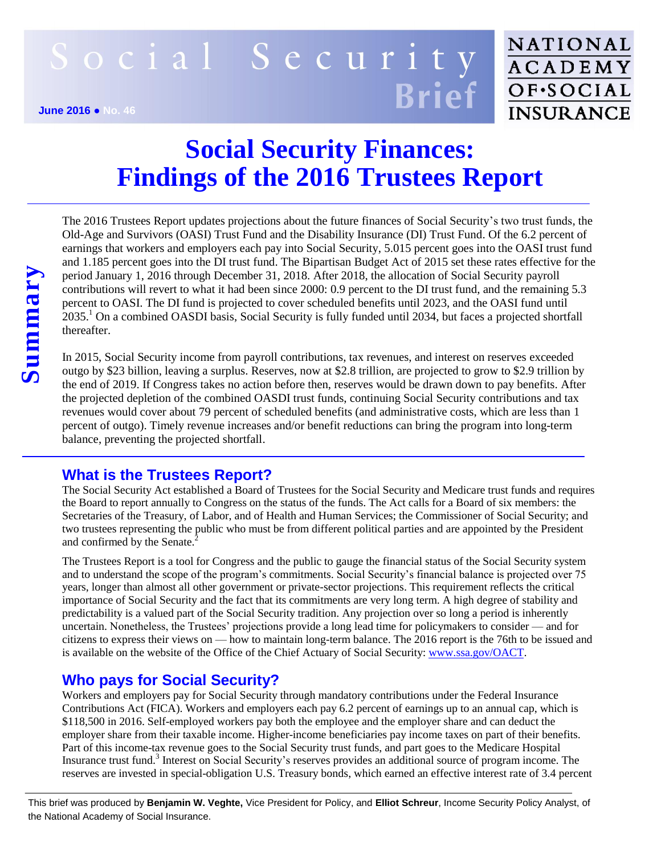# Social Security **Brief**

#### **June 2016 ● No. 46**

## NATIONAL **ACADEMY** OF.SOCIAL **INSURANCE**

# **Social Security Finances: Findings of the 2016 Trustees Report**

The 2016 Trustees Report updates projections about the future finances of Social Security's two trust funds, the Old-Age and Survivors (OASI) Trust Fund and the Disability Insurance (DI) Trust Fund. Of the 6.2 percent of earnings that workers and employers each pay into Social Security, 5.015 percent goes into the OASI trust fund and 1.185 percent goes into the DI trust fund. The Bipartisan Budget Act of 2015 set these rates effective for the period January 1, 2016 through December 31, 2018. After 2018, the allocation of Social Security payroll contributions will revert to what it had been since 2000: 0.9 percent to the DI trust fund, and the remaining 5.3 percent to OASI. The DI fund is projected to cover scheduled benefits until 2023, and the OASI fund until 2035.<sup>1</sup> On a combined OASDI basis, Social Security is fully funded until 2034, but faces a projected shortfall thereafter.

In 2015, Social Security income from payroll contributions, tax revenues, and interest on reserves exceeded outgo by \$23 billion, leaving a surplus. Reserves, now at \$2.8 trillion, are projected to grow to \$2.9 trillion by the end of 2019. If Congress takes no action before then, reserves would be drawn down to pay benefits. After the projected depletion of the combined OASDI trust funds, continuing Social Security contributions and tax revenues would cover about 79 percent of scheduled benefits (and administrative costs, which are less than 1 percent of outgo). Timely revenue increases and/or benefit reductions can bring the program into long-term balance, preventing the projected shortfall.

## **What is the Trustees Report?**

The Social Security Act established a Board of Trustees for the Social Security and Medicare trust funds and requires the Board to report annually to Congress on the status of the funds. The Act calls for a Board of six members: the Secretaries of the Treasury, of Labor, and of Health and Human Services; the Commissioner of Social Security; and two trustees representing the public who must be from different political parties and are appointed by the President and confirmed by the Senate.<sup>2</sup>

**Example 12**<br> **Example 12**<br> **Example 2015**<br> **Example 2015**<br> **Example 2015.** The DI fund is<br>
2015, Social Security incomend OASDI<br> **Example by S23** billion, leaving a<br>
due end of 2019. If Congress tal<br>
the projected depleti The Trustees Report is a tool for Congress and the public to gauge the financial status of the Social Security system and to understand the scope of the program's commitments. Social Security's financial balance is projected over 75 years, longer than almost all other government or private-sector projections. This requirement reflects the critical importance of Social Security and the fact that its commitments are very long term. A high degree of stability and predictability is a valued part of the Social Security tradition. Any projection over so long a period is inherently uncertain. Nonetheless, the Trustees' projections provide a long lead time for policymakers to consider — and for citizens to express their views on — how to maintain long-term balance. The 2016 report is the 76th to be issued and is available on the website of the Office of the Chief Actuary of Social Security: [www.ssa.gov/OACT.](http://www.ssa.gov/OACT)

### **Who pays for Social Security?**

Workers and employers pay for Social Security through mandatory contributions under the Federal Insurance Contributions Act (FICA). Workers and employers each pay 6.2 percent of earnings up to an annual cap, which is \$118,500 in 2016. Self-employed workers pay both the employee and the employer share and can deduct the employer share from their taxable income. Higher-income beneficiaries pay income taxes on part of their benefits. Part of this income-tax revenue goes to the Social Security trust funds, and part goes to the Medicare Hospital Insurance trust fund.<sup>3</sup> Interest on Social Security's reserves provides an additional source of program income. The reserves are invested in special-obligation U.S. Treasury bonds, which earned an effective interest rate of 3.4 percent

This brief was produced by **Benjamin W. Veghte,** Vice President for Policy, and **Elliot Schreur**, Income Security Policy Analyst, of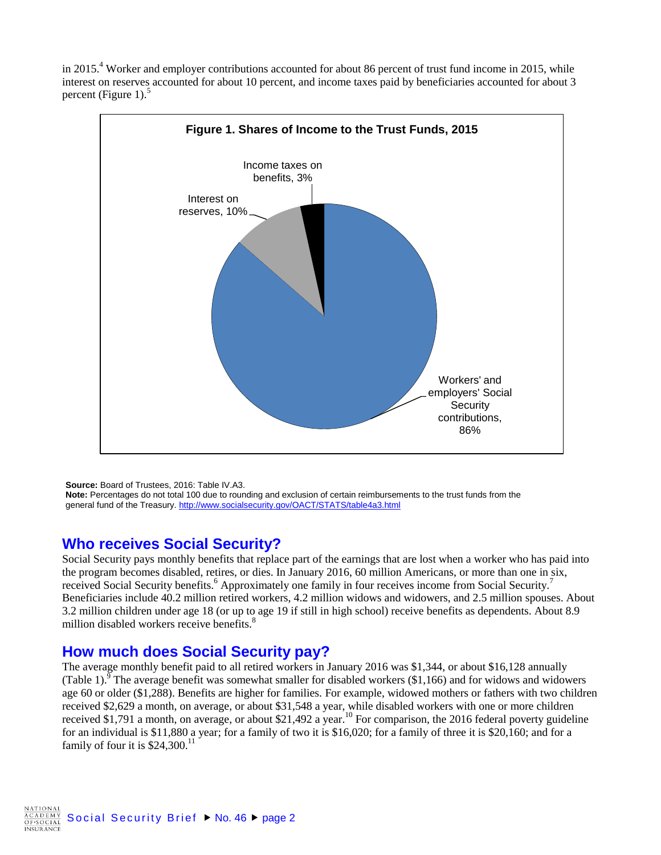in 2015.<sup>4</sup> Worker and employer contributions accounted for about 86 percent of trust fund income in 2015, while interest on reserves accounted for about 10 percent, and income taxes paid by beneficiaries accounted for about 3 percent (Figure 1). $5$ 



**Source:** Board of Trustees, 2016: Table IV.A3.

**Note:** Percentages do not total 100 due to rounding and exclusion of certain reimbursements to the trust funds from the general fund of the Treasury.<http://www.socialsecurity.gov/OACT/STATS/table4a3.html>

#### **Who receives Social Security?**

Social Security pays monthly benefits that replace part of the earnings that are lost when a worker who has paid into the program becomes disabled, retires, or dies. In January 2016, 60 million Americans, or more than one in six, received Social Security benefits.<sup>6</sup> Approximately one family in four receives income from Social Security.<sup>7</sup> Beneficiaries include 40.2 million retired workers, 4.2 million widows and widowers, and 2.5 million spouses. About 3.2 million children under age 18 (or up to age 19 if still in high school) receive benefits as dependents. About 8.9 million disabled workers receive benefits.<sup>8</sup>

#### **How much does Social Security pay?**

The average monthly benefit paid to all retired workers in January 2016 was \$1,344, or about \$16,128 annually (Table 1).<sup>9</sup> The average benefit was somewhat smaller for disabled workers (\$1,166) and for widows and widowers age 60 or older (\$1,288). Benefits are higher for families. For example, widowed mothers or fathers with two children received \$2,629 a month, on average, or about \$31,548 a year, while disabled workers with one or more children received \$1,791 a month, on average, or about \$21,492 a year.<sup>10</sup> For comparison, the 2016 federal poverty guideline for an individual is \$11,880 a year; for a family of two it is \$16,020; for a family of three it is \$20,160; and for a family of four it is  $$24,300$ .<sup>11</sup>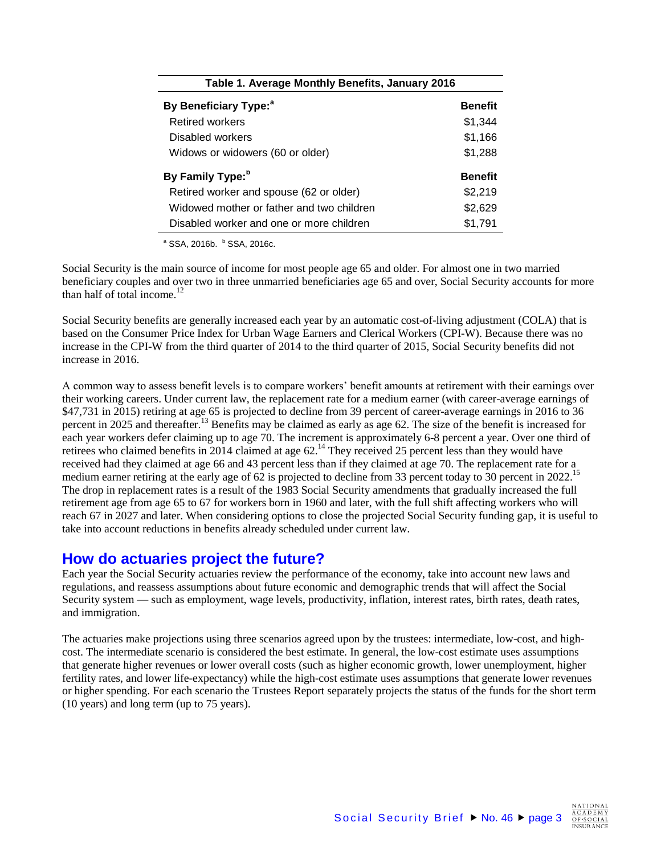| Table 1. Average Monthly Benefits, January 2016 |  |  |  |
|-------------------------------------------------|--|--|--|
| <b>Benefit</b>                                  |  |  |  |
| \$1,344                                         |  |  |  |
| \$1,166                                         |  |  |  |
| \$1,288                                         |  |  |  |
| <b>Benefit</b>                                  |  |  |  |
| \$2,219                                         |  |  |  |
| \$2,629                                         |  |  |  |
| \$1,791                                         |  |  |  |
|                                                 |  |  |  |

 $a$  SSA, 2016b.  $b$  SSA, 2016c.

Social Security is the main source of income for most people age 65 and older. For almost one in two married beneficiary couples and over two in three unmarried beneficiaries age 65 and over, Social Security accounts for more than half of total income. 12

Social Security benefits are generally increased each year by an automatic cost-of-living adjustment (COLA) that is based on the Consumer Price Index for Urban Wage Earners and Clerical Workers (CPI-W). Because there was no increase in the CPI-W from the third quarter of 2014 to the third quarter of 2015, Social Security benefits did not increase in 2016.

A common way to assess benefit levels is to compare workers' benefit amounts at retirement with their earnings over their working careers. Under current law, the replacement rate for a medium earner (with career-average earnings of \$47,731 in 2015) retiring at age 65 is projected to decline from 39 percent of career-average earnings in 2016 to 36 percent in 2025 and thereafter.<sup>13</sup> Benefits may be claimed as early as age 62. The size of the benefit is increased for each year workers defer claiming up to age 70. The increment is approximately 6-8 percent a year. Over one third of retirees who claimed benefits in 2014 claimed at age 62.<sup>14</sup> They received 25 percent less than they would have received had they claimed at age 66 and 43 percent less than if they claimed at age 70. The replacement rate for a medium earner retiring at the early age of 62 is projected to decline from 33 percent today to 30 percent in 2022.<sup>15</sup> The drop in replacement rates is a result of the 1983 Social Security amendments that gradually increased the full retirement age from age 65 to 67 for workers born in 1960 and later, with the full shift affecting workers who will reach 67 in 2027 and later. When considering options to close the projected Social Security funding gap, it is useful to take into account reductions in benefits already scheduled under current law.

#### **How do actuaries project the future?**

Each year the Social Security actuaries review the performance of the economy, take into account new laws and regulations, and reassess assumptions about future economic and demographic trends that will affect the Social Security system — such as employment, wage levels, productivity, inflation, interest rates, birth rates, death rates, and immigration.

The actuaries make projections using three scenarios agreed upon by the trustees: intermediate, low-cost, and highcost. The intermediate scenario is considered the best estimate. In general, the low-cost estimate uses assumptions that generate higher revenues or lower overall costs (such as higher economic growth, lower unemployment, higher fertility rates, and lower life-expectancy) while the high-cost estimate uses assumptions that generate lower revenues or higher spending. For each scenario the Trustees Report separately projects the status of the funds for the short term (10 years) and long term (up to 75 years).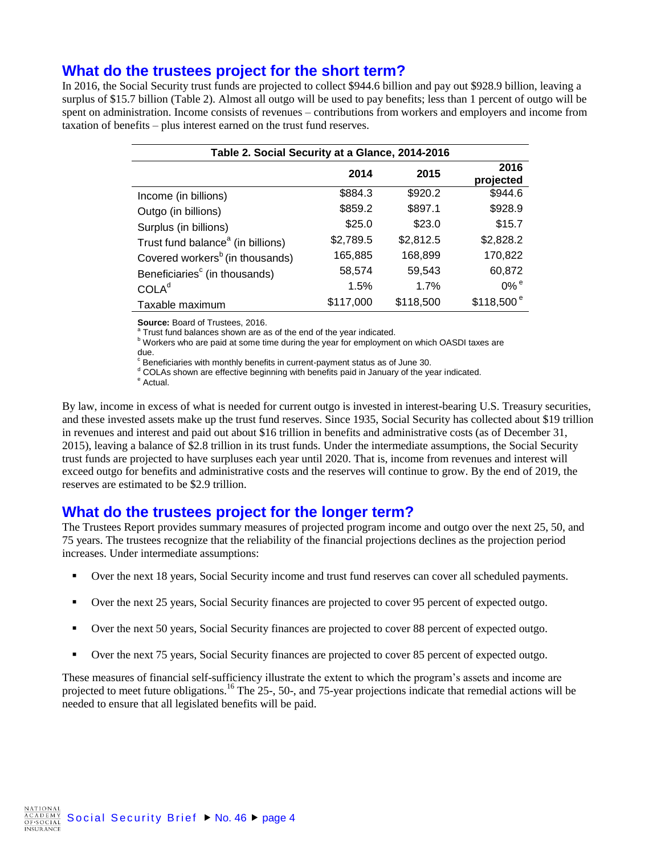#### **What do the trustees project for the short term?**

In 2016, the Social Security trust funds are projected to collect \$944.6 billion and pay out \$928.9 billion, leaving a surplus of \$15.7 billion (Table 2). Almost all outgo will be used to pay benefits; less than 1 percent of outgo will be spent on administration. Income consists of revenues – contributions from workers and employers and income from taxation of benefits – plus interest earned on the trust fund reserves.

| Table 2. Social Security at a Glance, 2014-2016 |           |           |                    |
|-------------------------------------------------|-----------|-----------|--------------------|
|                                                 | 2014      | 2015      | 2016<br>projected  |
| Income (in billions)                            | \$884.3   | \$920.2   | \$944.6            |
| Outgo (in billions)                             | \$859.2   | \$897.1   | \$928.9            |
| Surplus (in billions)                           | \$25.0    | \$23.0    | \$15.7             |
| Trust fund balance <sup>a</sup> (in billions)   | \$2,789.5 | \$2,812.5 | \$2,828.2          |
| Covered workers <sup>b</sup> (in thousands)     | 165,885   | 168,899   | 170,822            |
| Beneficiaries <sup>c</sup> (in thousands)       | 58,574    | 59,543    | 60,872             |
| COLA <sup>d</sup>                               | 1.5%      | 1.7%      | $0\%$ <sup>e</sup> |
| Taxable maximum                                 | \$117,000 | \$118,500 | $$118,500^{\circ}$ |

**Source:** Board of Trustees, 2016.

<sup>a</sup> Trust fund balances shown are as of the end of the year indicated.

b Workers who are paid at some time during the year for employment on which OASDI taxes are due.

 $\degree$  Beneficiaries with monthly benefits in current-payment status as of June 30.

<sup>d</sup> COLAs shown are effective beginning with benefits paid in January of the year indicated.

<sup>e</sup> Actual.

By law, income in excess of what is needed for current outgo is invested in interest-bearing U.S. Treasury securities, and these invested assets make up the trust fund reserves. Since 1935, Social Security has collected about \$19 trillion in revenues and interest and paid out about \$16 trillion in benefits and administrative costs (as of December 31, 2015), leaving a balance of \$2.8 trillion in its trust funds. Under the intermediate assumptions, the Social Security trust funds are projected to have surpluses each year until 2020. That is, income from revenues and interest will exceed outgo for benefits and administrative costs and the reserves will continue to grow. By the end of 2019, the reserves are estimated to be \$2.9 trillion.

#### **What do the trustees project for the longer term?**

The Trustees Report provides summary measures of projected program income and outgo over the next 25, 50, and 75 years. The trustees recognize that the reliability of the financial projections declines as the projection period increases. Under intermediate assumptions:

- Over the next 18 years, Social Security income and trust fund reserves can cover all scheduled payments.
- Over the next 25 years, Social Security finances are projected to cover 95 percent of expected outgo.
- Over the next 50 years, Social Security finances are projected to cover 88 percent of expected outgo.
- Over the next 75 years, Social Security finances are projected to cover 85 percent of expected outgo.

These measures of financial self-sufficiency illustrate the extent to which the program's assets and income are projected to meet future obligations.<sup>16</sup> The 25-, 50-, and 75-year projections indicate that remedial actions will be needed to ensure that all legislated benefits will be paid.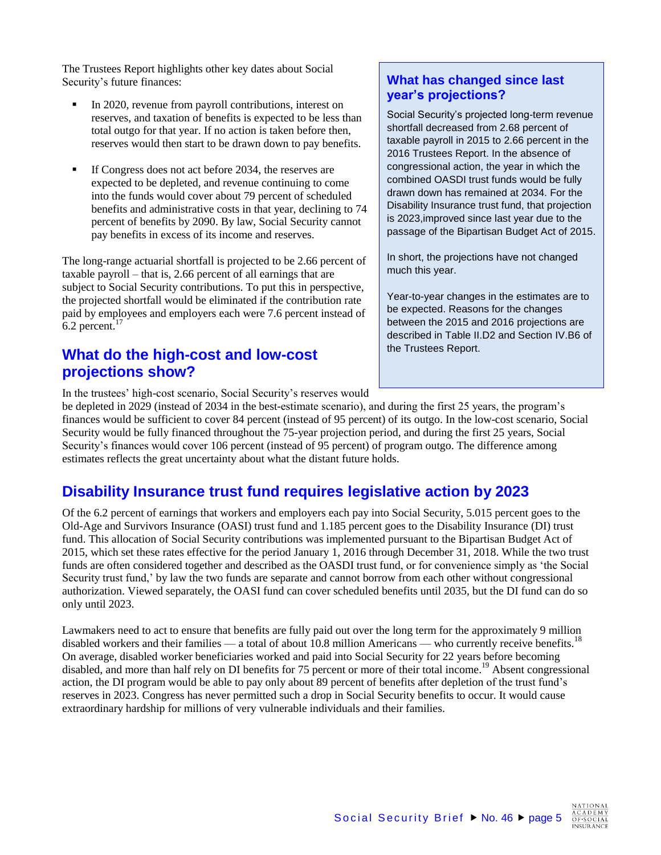The Trustees Report highlights other key dates about Social Security's future finances:

- In 2020, revenue from payroll contributions, interest on reserves, and taxation of benefits is expected to be less than total outgo for that year. If no action is taken before then, reserves would then start to be drawn down to pay benefits.
- If Congress does not act before 2034, the reserves are expected to be depleted, and revenue continuing to come into the funds would cover about 79 percent of scheduled benefits and administrative costs in that year, declining to 74 percent of benefits by 2090. By law, Social Security cannot pay benefits in excess of its income and reserves.

The long-range actuarial shortfall is projected to be 2.66 percent of taxable payroll – that is, 2.66 percent of all earnings that are subject to Social Security contributions. To put this in perspective, the projected shortfall would be eliminated if the contribution rate paid by employees and employers each were 7.6 percent instead of  $6.2$  percent.<sup>17</sup>

#### **What do the high-cost and low-cost projections show?**

#### **What has changed since last year's projections?**

Social Security's projected long-term revenue shortfall decreased from 2.68 percent of taxable payroll in 2015 to 2.66 percent in the 2016 Trustees Report. In the absence of congressional action, the year in which the combined OASDI trust funds would be fully drawn down has remained at 2034. For the Disability Insurance trust fund, that projection is 2023,improved since last year due to the passage of the Bipartisan Budget Act of 2015.

In short, the projections have not changed much this year.

Year-to-year changes in the estimates are to be expected. Reasons for the changes between the 2015 and 2016 projections are described in Table II.D2 and Section IV.B6 of the Trustees Report.

In the trustees' high-cost scenario, Social Security's reserves would

be depleted in 2029 (instead of 2034 in the best-estimate scenario), and during the first 25 years, the program's finances would be sufficient to cover 84 percent (instead of 95 percent) of its outgo. In the low-cost scenario, Social Security would be fully financed throughout the 75-year projection period, and during the first 25 years, Social Security's finances would cover 106 percent (instead of 95 percent) of program outgo. The difference among estimates reflects the great uncertainty about what the distant future holds.

### **Disability Insurance trust fund requires legislative action by 2023**

Of the 6.2 percent of earnings that workers and employers each pay into Social Security, 5.015 percent goes to the Old-Age and Survivors Insurance (OASI) trust fund and 1.185 percent goes to the Disability Insurance (DI) trust fund. This allocation of Social Security contributions was implemented pursuant to the Bipartisan Budget Act of 2015, which set these rates effective for the period January 1, 2016 through December 31, 2018. While the two trust funds are often considered together and described as the OASDI trust fund, or for convenience simply as 'the Social Security trust fund,' by law the two funds are separate and cannot borrow from each other without congressional authorization. Viewed separately, the OASI fund can cover scheduled benefits until 2035, but the DI fund can do so only until 2023.

Lawmakers need to act to ensure that benefits are fully paid out over the long term for the approximately 9 million disabled workers and their families — a total of about 10.8 million Americans — who currently receive benefits.<sup>18</sup> On average, disabled worker beneficiaries worked and paid into Social Security for 22 years before becoming disabled, and more than half rely on DI benefits for 75 percent or more of their total income.<sup>19</sup> Absent congressional action, the DI program would be able to pay only about 89 percent of benefits after depletion of the trust fund's reserves in 2023. Congress has never permitted such a drop in Social Security benefits to occur. It would cause extraordinary hardship for millions of very vulnerable individuals and their families.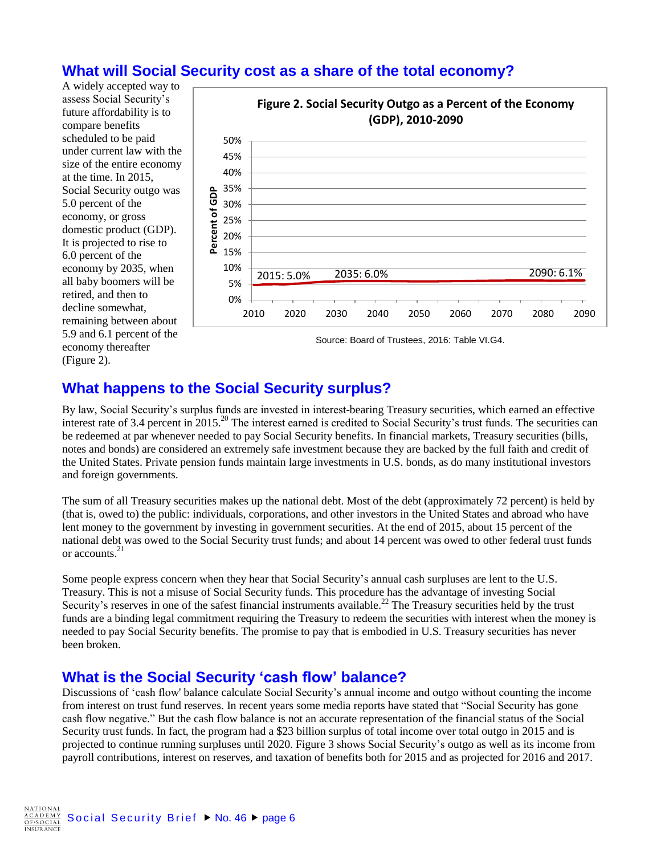#### **What will Social Security cost as a share of the total economy?**

A widely accepted way to assess Social Security's future affordability is to compare benefits scheduled to be paid under current law with the size of the entire economy at the time. In 2015, Social Security outgo was 5.0 percent of the economy, or gross domestic product (GDP). It is projected to rise to 6.0 percent of the economy by 2035, when all baby boomers will be retired, and then to decline somewhat, remaining between about 5.9 and 6.1 percent of the economy thereafter (Figure 2).



#### **What happens to the Social Security surplus?**

By law, Social Security's surplus funds are invested in interest-bearing Treasury securities, which earned an effective interest rate of 3.4 percent in 2015.<sup>20</sup> The interest earned is credited to Social Security's trust funds. The securities can be redeemed at par whenever needed to pay Social Security benefits. In financial markets, Treasury securities (bills, notes and bonds) are considered an extremely safe investment because they are backed by the full faith and credit of the United States. Private pension funds maintain large investments in U.S. bonds, as do many institutional investors and foreign governments.

The sum of all Treasury securities makes up the national debt. Most of the debt (approximately 72 percent) is held by (that is, owed to) the public: individuals, corporations, and other investors in the United States and abroad who have lent money to the government by investing in government securities. At the end of 2015, about 15 percent of the national debt was owed to the Social Security trust funds; and about 14 percent was owed to other federal trust funds or accounts.<sup>21</sup>

Some people express concern when they hear that Social Security's annual cash surpluses are lent to the U.S. Treasury. This is not a misuse of Social Security funds. This procedure has the advantage of investing Social Security's reserves in one of the safest financial instruments available.<sup>22</sup> The Treasury securities held by the trust funds are a binding legal commitment requiring the Treasury to redeem the securities with interest when the money is needed to pay Social Security benefits. The promise to pay that is embodied in U.S. Treasury securities has never been broken.

#### **What is the Social Security 'cash flow' balance?**

Discussions of 'cash flow' balance calculate Social Security's annual income and outgo without counting the income from interest on trust fund reserves. In recent years some media reports have stated that "Social Security has gone cash flow negative." But the cash flow balance is not an accurate representation of the financial status of the Social Security trust funds. In fact, the program had a \$23 billion surplus of total income over total outgo in 2015 and is projected to continue running surpluses until 2020. Figure 3 shows Social Security's outgo as well as its income from payroll contributions, interest on reserves, and taxation of benefits both for 2015 and as projected for 2016 and 2017.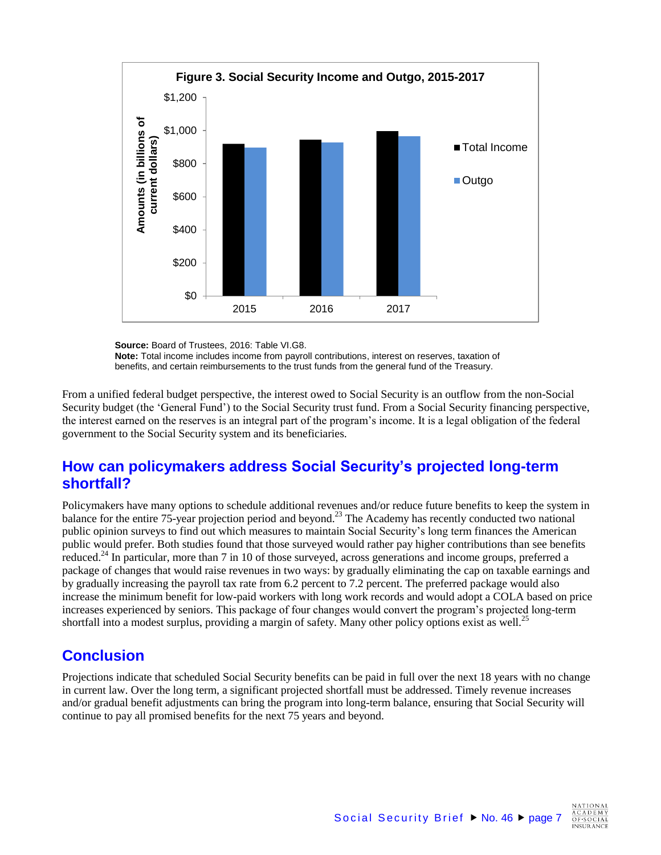

**Source:** Board of Trustees, 2016: Table VI.G8. **Note:** Total income includes income from payroll contributions, interest on reserves, taxation of benefits, and certain reimbursements to the trust funds from the general fund of the Treasury.

From a unified federal budget perspective, the interest owed to Social Security is an outflow from the non-Social Security budget (the 'General Fund') to the Social Security trust fund. From a Social Security financing perspective, the interest earned on the reserves is an integral part of the program's income. It is a legal obligation of the federal government to the Social Security system and its beneficiaries.

#### **How can policymakers address Social Security's projected long-term shortfall?**

Policymakers have many options to schedule additional revenues and/or reduce future benefits to keep the system in balance for the entire 75-year projection period and beyond.<sup>23</sup> The Academy has recently conducted two national public opinion surveys to find out which measures to maintain Social Security's long term finances the American public would prefer. Both studies found that those surveyed would rather pay higher contributions than see benefits reduced.<sup>24</sup> In particular, more than 7 in 10 of those surveyed, across generations and income groups, preferred a package of changes that would raise revenues in two ways: by gradually eliminating the cap on taxable earnings and by gradually increasing the payroll tax rate from 6.2 percent to 7.2 percent. The preferred package would also increase the minimum benefit for low-paid workers with long work records and would adopt a COLA based on price increases experienced by seniors. This package of four changes would convert the program's projected long-term shortfall into a modest surplus, providing a margin of safety. Many other policy options exist as well.<sup>25</sup>

#### **Conclusion**

Projections indicate that scheduled Social Security benefits can be paid in full over the next 18 years with no change in current law. Over the long term, a significant projected shortfall must be addressed. Timely revenue increases and/or gradual benefit adjustments can bring the program into long-term balance, ensuring that Social Security will continue to pay all promised benefits for the next 75 years and beyond.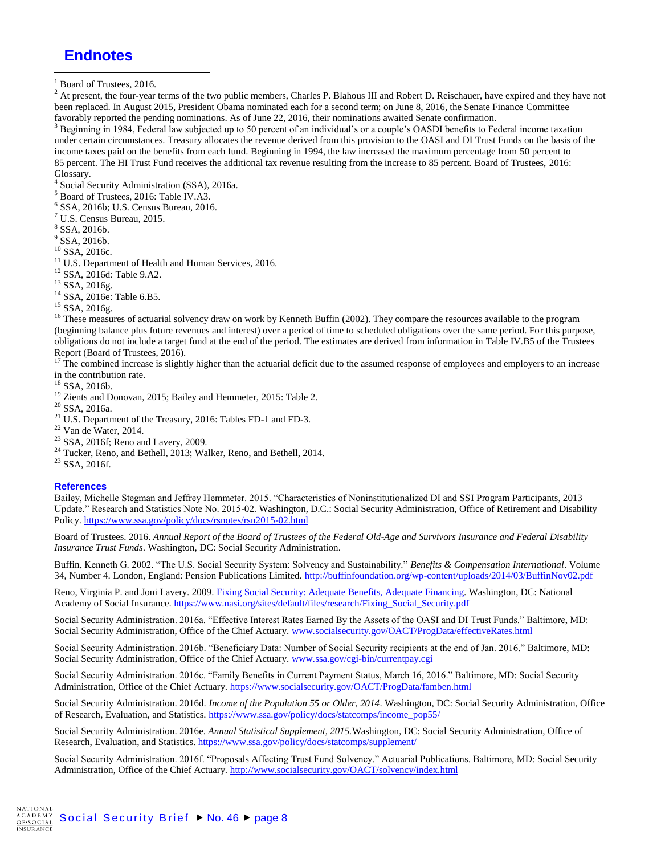#### **Endnotes**

 $\overline{a}$ 

 $2$  At present, the four-year terms of the two public members, Charles P. Blahous III and Robert D. Reischauer, have expired and they have not been replaced. In August 2015, President Obama nominated each for a second term; on June 8, 2016, the Senate Finance Committee favorably reported the pending nominations. As of June 22, 2016, their nominations awaited Senate confirmation.

<sup>3</sup> Beginning in 1984, Federal law subjected up to 50 percent of an individual's or a couple's OASDI benefits to Federal income taxation under certain circumstances. Treasury allocates the revenue derived from this provision to the OASI and DI Trust Funds on the basis of the income taxes paid on the benefits from each fund. Beginning in 1994, the law increased the maximum percentage from 50 percent to 85 percent. The HI Trust Fund receives the additional tax revenue resulting from the increase to 85 percent. Board of Trustees, 2016: Glossary.

4 Social Security Administration (SSA), 2016a.

6 SSA, 2016b; U.S. Census Bureau, 2016.

U.S. Census Bureau, 2015.

8 SSA, 2016b.

<sup>9</sup> SSA, 2016b.

 $10$  SSA, 2016c.

<sup>11</sup> U.S. Department of Health and Human Services, 2016.

<sup>12</sup> SSA, 2016d: Table 9.A2.

<sup>13</sup> SSA, 2016g.

<sup>14</sup> SSA, 2016e: Table 6.B5.

<sup>15</sup> SSA, 2016g.

<sup>16</sup> These measures of actuarial solvency draw on work by Kenneth Buffin (2002). They compare the resources available to the program (beginning balance plus future revenues and interest) over a period of time to scheduled obligations over the same period. For this purpose, obligations do not include a target fund at the end of the period. The estimates are derived from information in Table IV.B5 of the Trustees Report (Board of Trustees, 2016).

 $17$  The combined increase is slightly higher than the actuarial deficit due to the assumed response of employees and employers to an increase in the contribution rate.

 $18$  SSA, 2016b.

<sup>19</sup> Zients and Donovan, 2015; Bailey and Hemmeter, 2015: Table 2.

<sup>20</sup> SSA, 2016a.

<sup>21</sup> U.S. Department of the Treasury, 2016: Tables FD-1 and FD-3.

 $22$  Van de Water, 2014.

 $23$  SSA, 2016f; Reno and Lavery, 2009.

<sup>24</sup> Tucker, Reno, and Bethell, 2013; Walker, Reno, and Bethell, 2014.

<sup>23</sup> SSA, 2016f.

#### **References**

Bailey, Michelle Stegman and Jeffrey Hemmeter. 2015. "Characteristics of Noninstitutionalized DI and SSI Program Participants, 2013 Update." Research and Statistics Note No. 2015-02. Washington, D.C.: Social Security Administration, Office of Retirement and Disability Policy.<https://www.ssa.gov/policy/docs/rsnotes/rsn2015-02.html>

Board of Trustees. 2016. *Annual Report of the Board of Trustees of the Federal Old-Age and Survivors Insurance and Federal Disability Insurance Trust Funds*. Washington, DC: Social Security Administration.

Buffin, Kenneth G. 2002. "The U.S. Social Security System: Solvency and Sustainability." *Benefits & Compensation International*. Volume 34, Number 4. London, England: Pension Publications Limited.<http://buffinfoundation.org/wp-content/uploads/2014/03/BuffinNov02.pdf>

Reno, Virginia P. and Joni Lavery. 2009[. Fixing Social Security: Adequate Benefits, Adequate](https://www.nasi.org/research/2009/fixing-social-security) Financing. Washington, DC: National Academy of Social Insurance. [https://www.nasi.org/sites/default/files/research/Fixing\\_Social\\_Security.pdf](https://www.nasi.org/sites/default/files/research/Fixing_Social_Security.pdf)

Social Security Administration. 2016a. "Effective Interest Rates Earned By the Assets of the OASI and DI Trust Funds." Baltimore, MD: Social Security Administration, Office of the Chief Actuary. [www.socialsecurity.gov/OACT/ProgData/effectiveRates.html](http://www.socialsecurity.gov/OACT/ProgData/effectiveRates.html)

Social Security Administration. 2016b. "Beneficiary Data: Number of Social Security recipients at the end of Jan. 2016." Baltimore, MD: Social Security Administration, Office of the Chief Actuary. [www.ssa.gov/cgi-bin/currentpay.cgi](http://www.ssa.gov/cgi-bin/currentpay.cgi)

Social Security Administration. 2016c. "Family Benefits in Current Payment Status, March 16, 2016." Baltimore, MD: Social Security Administration, Office of the Chief Actuary.<https://www.socialsecurity.gov/OACT/ProgData/famben.html>

Social Security Administration. 2016d. *Income of the Population 55 or Older, 2014*. Washington, DC: Social Security Administration, Office of Research, Evaluation, and Statistics[. https://www.ssa.gov/policy/docs/statcomps/income\\_pop55/](https://www.ssa.gov/policy/docs/statcomps/income_pop55/)

Social Security Administration. 2016e. *Annual Statistical Supplement, 2015.*Washington, DC: Social Security Administration, Office of Research, Evaluation, and Statistics[. https://www.ssa.gov/policy/docs/statcomps/supplement/](https://www.ssa.gov/policy/docs/statcomps/supplement/)

Social Security Administration. 2016f. "Proposals Affecting Trust Fund Solvency." Actuarial Publications. Baltimore, MD: Social Security Administration, Office of the Chief Actuary.<http://www.socialsecurity.gov/OACT/solvency/index.html>

Board of Trustees, 2016.

<sup>&</sup>lt;sup>5</sup> Board of Trustees, 2016: Table IV.A3.